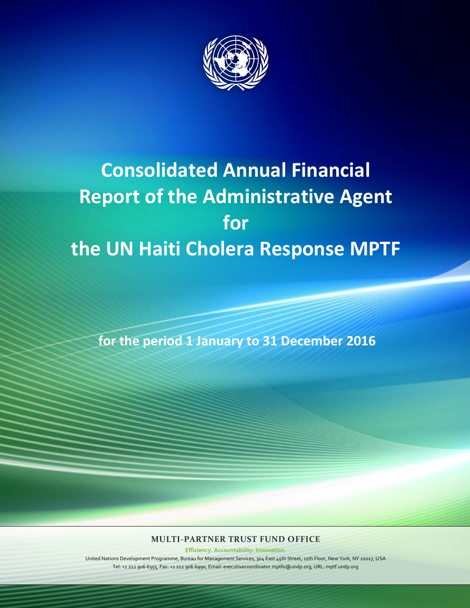

# **Consolidated Annual Financial Report of the Administrative Agent for the UN Haiti Cholera Response MPTF**

**for the period 1 January to 31 December 2016**

# **MULTI-PARTNER TRUST FUND OFFICE**

**Efficiency. Accountability. Innovation.**

United Nations Development Programme, Bureau for Management Services, 304 East 45th Street, 11th Floor, New York, NY 10017, USA Tel: +1 212 906 6355, Fax: +1 212 906 6990, Email: executivecoordinator.mptfo@undp.org, URL: mptf.undp.org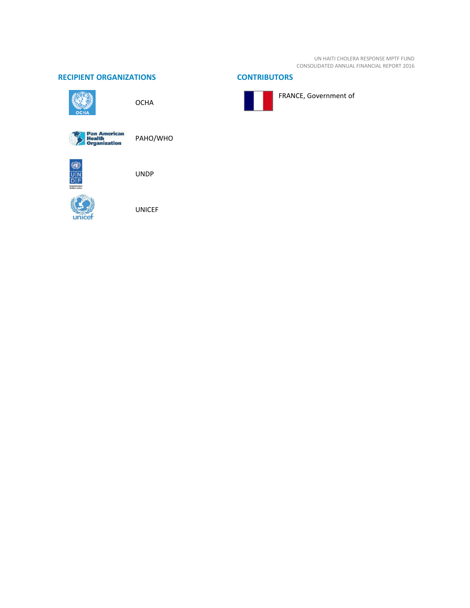UN HAITI CHOLERA RESPONSE MPTF FUND CONSOLIDATED ANNUAL FINANCIAL REPORT 2016

### **RECIPIENT ORGANIZATIONS CONTRIBUTORS**



**OCHA** 



PAHO/WHO



UNDP



UNICEF



FRANCE, Government of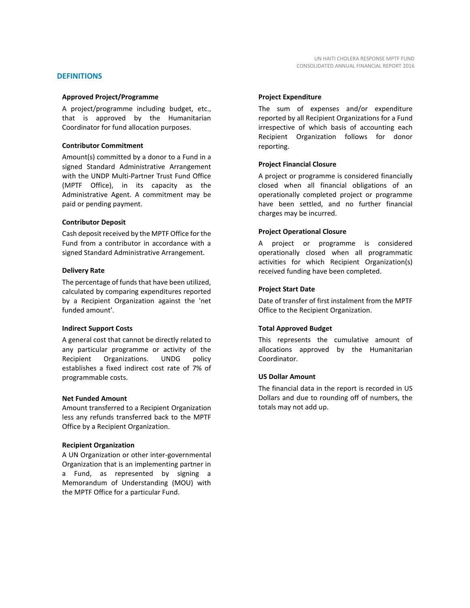#### **DEFINITIONS**

#### **Approved Project/Programme**

A project/programme including budget, etc., that is approved by the Humanitarian Coordinator for fund allocation purposes.

#### **Contributor Commitment**

Amount(s) committed by a donor to a Fund in a signed Standard Administrative Arrangement with the UNDP Multi-Partner Trust Fund Office (MPTF Office), in its capacity as the Administrative Agent. A commitment may be paid or pending payment.

#### **Contributor Deposit**

Cash deposit received by the MPTF Office for the Fund from a contributor in accordance with a signed Standard Administrative Arrangement.

#### **Delivery Rate**

The percentage of funds that have been utilized, calculated by comparing expenditures reported by a Recipient Organization against the 'net funded amount'.

#### **Indirect Support Costs**

A general cost that cannot be directly related to any particular programme or activity of the Recipient Organizations. UNDG policy establishes a fixed indirect cost rate of 7% of programmable costs.

#### **Net Funded Amount**

Amount transferred to a Recipient Organization less any refunds transferred back to the MPTF Office by a Recipient Organization.

#### **Recipient Organization**

A UN Organization or other inter-governmental Organization that is an implementing partner in a Fund, as represented by signing a Memorandum of Understanding (MOU) with the MPTF Office for a particular Fund.

#### **Project Expenditure**

The sum of expenses and/or expenditure reported by all Recipient Organizations for a Fund irrespective of which basis of accounting each Recipient Organization follows for donor reporting.

#### **Project Financial Closure**

A project or programme is considered financially closed when all financial obligations of an operationally completed project or programme have been settled, and no further financial charges may be incurred.

#### **Project Operational Closure**

A project or programme is considered operationally closed when all programmatic activities for which Recipient Organization(s) received funding have been completed.

#### **Project Start Date**

Date of transfer of first instalment from the MPTF Office to the Recipient Organization.

#### **Total Approved Budget**

This represents the cumulative amount of allocations approved by the Humanitarian Coordinator.

#### **US Dollar Amount**

The financial data in the report is recorded in US Dollars and due to rounding off of numbers, the totals may not add up.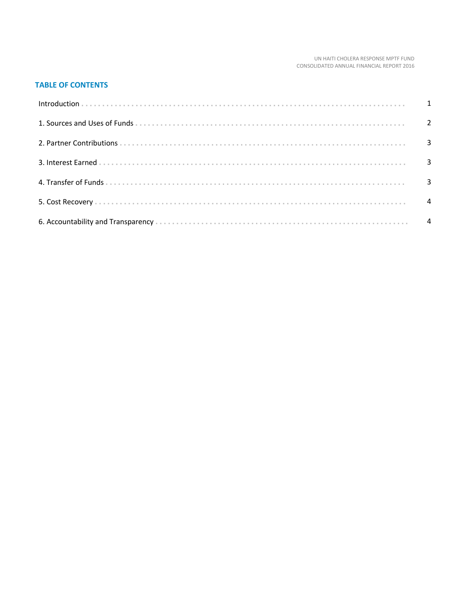#### UN HAITI CHOLERA RESPONSE MPTF FUND CONSOLIDATED ANNUAL FINANCIAL REPORT 2016

## **TABLE OF CONTENTS**

| Introduction 1 1 |                          |
|------------------|--------------------------|
|                  |                          |
|                  |                          |
|                  | $\overline{\phantom{a}}$ |
|                  |                          |
|                  | $\overline{4}$           |
|                  |                          |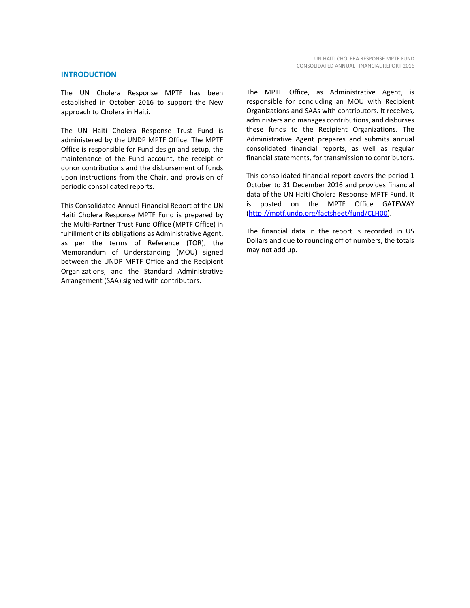#### **INTRODUCTION**

The UN Cholera Response MPTF has been established in October 2016 to support the New approach to Cholera in Haiti.

The UN Haiti Cholera Response Trust Fund is administered by the UNDP MPTF Office. The MPTF Office is responsible for Fund design and setup, the maintenance of the Fund account, the receipt of donor contributions and the disbursement of funds upon instructions from the Chair, and provision of periodic consolidated reports.

This Consolidated Annual Financial Report of the UN Haiti Cholera Response MPTF Fund is prepared by the Multi-Partner Trust Fund Office (MPTF Office) in fulfillment of its obligations as Administrative Agent, as per the terms of Reference (TOR), the Memorandum of Understanding (MOU) signed between the UNDP MPTF Office and the Recipient Organizations, and the Standard Administrative Arrangement (SAA) signed with contributors.

The MPTF Office, as Administrative Agent, is responsible for concluding an MOU with Recipient Organizations and SAAs with contributors. It receives, administers and manages contributions, and disburses these funds to the Recipient Organizations. The Administrative Agent prepares and submits annual consolidated financial reports, as well as regular financial statements, for transmission to contributors.

This consolidated financial report covers the period 1 October to 31 December 2016 and provides financial data of the UN Haiti Cholera Response MPTF Fund. It is posted on the MPTF Office GATEWAY [\(http://mptf.undp.org/factsheet/fund/CLH00\)](http://mptf.undp.org/factsheet/fund/CLH00).

The financial data in the report is recorded in US Dollars and due to rounding off of numbers, the totals may not add up.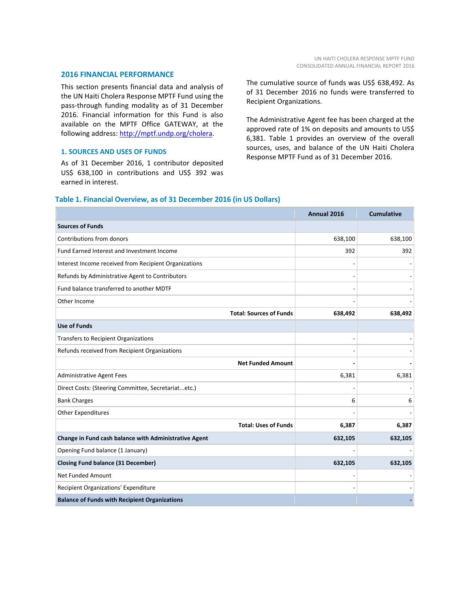#### **2016 FINANCIAL PERFORMANCE**

This section presents financial data and analysis of the UN Haiti Cholera Response MPTF Fund using the pass-through funding modality as of 31 December 2016. Financial information for this Fund is also available on the MPTF Office GATEWAY, at the following address: [http://mptf.undp.org/cholera.](http://mptf.undp.org/cholera)

#### **1. SOURCES AND USES OF FUNDS**

As of 31 December 2016, 1 contributor deposited US\$ 638,100 in contributions and US\$ 392 was earned in interest.

The cumulative source of funds was US\$ 638,492. As of 31 December 2016 no funds were transferred to Recipient Organizations.

The Administrative Agent fee has been charged at the approved rate of 1% on deposits and amounts to US\$ 6,381. Table 1 provides an overview of the overall sources, uses, and balance of the UN Haiti Cholera Response MPTF Fund as of 31 December 2016.

#### **Table 1. Financial Overview, as of 31 December 2016 (in US Dollars)**

|                                                       | Annual 2016 | <b>Cumulative</b> |
|-------------------------------------------------------|-------------|-------------------|
| <b>Sources of Funds</b>                               |             |                   |
| Contributions from donors                             | 638,100     | 638,100           |
| Fund Earned Interest and Investment Income            | 392         | 392               |
| Interest Income received from Recipient Organizations |             |                   |
| Refunds by Administrative Agent to Contributors       |             |                   |
| Fund balance transferred to another MDTF              |             |                   |
| Other Income                                          |             |                   |
| <b>Total: Sources of Funds</b>                        | 638,492     | 638,492           |
| <b>Use of Funds</b>                                   |             |                   |
| <b>Transfers to Recipient Organizations</b>           |             |                   |
| Refunds received from Recipient Organizations         |             |                   |
| <b>Net Funded Amount</b>                              |             |                   |
| <b>Administrative Agent Fees</b>                      | 6,381       | 6,381             |
| Direct Costs: (Steering Committee, Secretariatetc.)   |             |                   |
| <b>Bank Charges</b>                                   | 6           | 6                 |
| <b>Other Expenditures</b>                             |             |                   |
| <b>Total: Uses of Funds</b>                           | 6,387       | 6,387             |
| Change in Fund cash balance with Administrative Agent | 632,105     | 632,105           |
| Opening Fund balance (1 January)                      |             |                   |
| <b>Closing Fund balance (31 December)</b>             | 632,105     | 632,105           |
| Net Funded Amount                                     |             |                   |
| Recipient Organizations' Expenditure                  |             |                   |
| <b>Balance of Funds with Recipient Organizations</b>  |             |                   |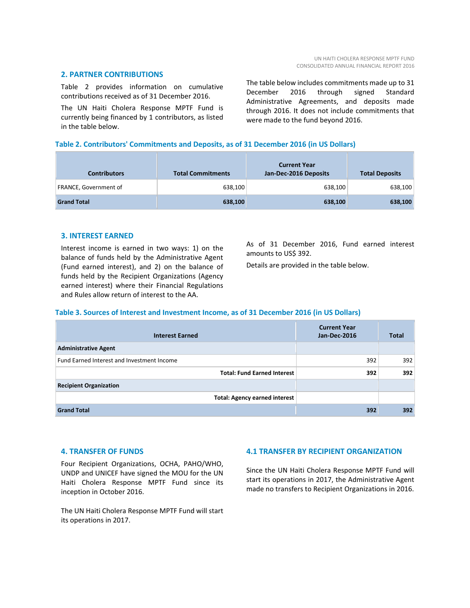#### **2. PARTNER CONTRIBUTIONS**

Table 2 provides information on cumulative contributions received as of 31 December 2016.

The UN Haiti Cholera Response MPTF Fund is currently being financed by 1 contributors, as listed in the table below.

The table below includes commitments made up to 31 December 2016 through signed Standard Administrative Agreements, and deposits made through 2016. It does not include commitments that were made to the fund beyond 2016.

#### **Table 2. Contributors' Commitments and Deposits, as of 31 December 2016 (in US Dollars)**

| <b>Contributors</b>   | <b>Total Commitments</b> | <b>Current Year</b><br>Jan-Dec-2016 Deposits | <b>Total Deposits</b> |
|-----------------------|--------------------------|----------------------------------------------|-----------------------|
| FRANCE, Government of | 638,100                  | 638,100                                      | 638,100               |
| <b>Grand Total</b>    | 638,100                  | 638,100                                      | 638,100               |

#### **3. INTEREST EARNED**

Interest income is earned in two ways: 1) on the balance of funds held by the Administrative Agent (Fund earned interest), and 2) on the balance of funds held by the Recipient Organizations (Agency earned interest) where their Financial Regulations and Rules allow return of interest to the AA.

As of 31 December 2016, Fund earned interest amounts to US\$ 392.

Details are provided in the table below.

#### **Table 3. Sources of Interest and Investment Income, as of 31 December 2016 (in US Dollars)**

| <b>Interest Earned</b>                     | <b>Current Year</b><br>Jan-Dec-2016 | <b>Total</b> |
|--------------------------------------------|-------------------------------------|--------------|
| <b>Administrative Agent</b>                |                                     |              |
| Fund Earned Interest and Investment Income | 392                                 | 392          |
| <b>Total: Fund Earned Interest</b>         | 392                                 | 392          |
| <b>Recipient Organization</b>              |                                     |              |
| <b>Total: Agency earned interest</b>       |                                     |              |
| <b>Grand Total</b>                         | 392                                 | 392          |

#### **4. TRANSFER OF FUNDS**

Four Recipient Organizations, OCHA, PAHO/WHO, UNDP and UNICEF have signed the MOU for the UN Haiti Cholera Response MPTF Fund since its inception in October 2016.

The UN Haiti Cholera Response MPTF Fund will start its operations in 2017.

### **4.1 TRANSFER BY RECIPIENT ORGANIZATION**

Since the UN Haiti Cholera Response MPTF Fund will start its operations in 2017, the Administrative Agent made no transfers to Recipient Organizations in 2016.